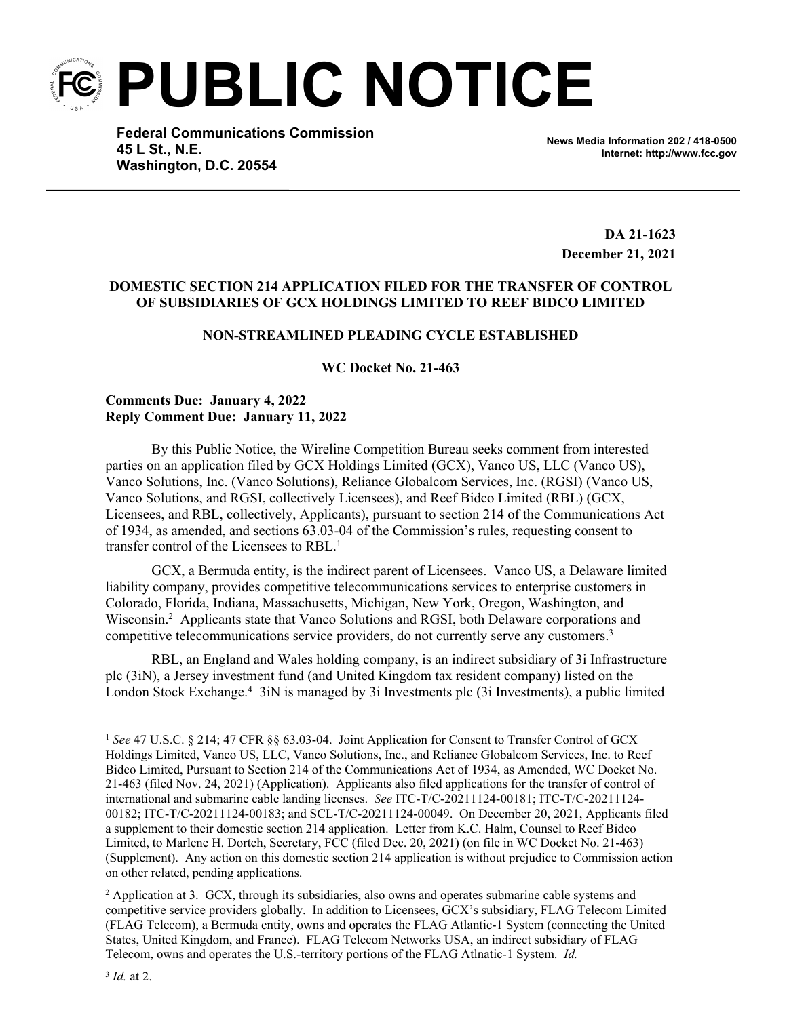**PUBLIC NOTICE**

**Federal Communications Commission 45 L St., N.E. Washington, D.C. 20554**

**News Media Information 202 / 418-0500 Internet: http://www.fcc.gov**

**DA 21-1623 December 21, 2021**

## **DOMESTIC SECTION 214 APPLICATION FILED FOR THE TRANSFER OF CONTROL OF SUBSIDIARIES OF GCX HOLDINGS LIMITED TO REEF BIDCO LIMITED**

# **NON-STREAMLINED PLEADING CYCLE ESTABLISHED**

**WC Docket No. 21-463**

### **Comments Due: January 4, 2022 Reply Comment Due: January 11, 2022**

By this Public Notice, the Wireline Competition Bureau seeks comment from interested parties on an application filed by GCX Holdings Limited (GCX), Vanco US, LLC (Vanco US), Vanco Solutions, Inc. (Vanco Solutions), Reliance Globalcom Services, Inc. (RGSI) (Vanco US, Vanco Solutions, and RGSI, collectively Licensees), and Reef Bidco Limited (RBL) (GCX, Licensees, and RBL, collectively, Applicants), pursuant to section 214 of the Communications Act of 1934, as amended, and sections 63.03-04 of the Commission's rules, requesting consent to transfer control of the Licensees to RBL.<sup>1</sup>

GCX, a Bermuda entity, is the indirect parent of Licensees. Vanco US, a Delaware limited liability company, provides competitive telecommunications services to enterprise customers in Colorado, Florida, Indiana, Massachusetts, Michigan, New York, Oregon, Washington, and Wisconsin.<sup>2</sup> Applicants state that Vanco Solutions and RGSI, both Delaware corporations and competitive telecommunications service providers, do not currently serve any customers.<sup>3</sup>

RBL, an England and Wales holding company, is an indirect subsidiary of 3i Infrastructure plc (3iN), a Jersey investment fund (and United Kingdom tax resident company) listed on the London Stock Exchange.<sup>4</sup> 3iN is managed by 3i Investments plc (3i Investments), a public limited

<sup>1</sup> *See* 47 U.S.C. § 214; 47 CFR §§ 63.03-04. Joint Application for Consent to Transfer Control of GCX Holdings Limited, Vanco US, LLC, Vanco Solutions, Inc., and Reliance Globalcom Services, Inc. to Reef Bidco Limited, Pursuant to Section 214 of the Communications Act of 1934, as Amended, WC Docket No. 21-463 (filed Nov. 24, 2021) (Application). Applicants also filed applications for the transfer of control of international and submarine cable landing licenses. *See* ITC-T/C-20211124-00181; ITC-T/C-20211124- 00182; ITC-T/C-20211124-00183; and SCL-T/C-20211124-00049. On December 20, 2021, Applicants filed a supplement to their domestic section 214 application. Letter from K.C. Halm, Counsel to Reef Bidco Limited, to Marlene H. Dortch, Secretary, FCC (filed Dec. 20, 2021) (on file in WC Docket No. 21-463) (Supplement). Any action on this domestic section 214 application is without prejudice to Commission action on other related, pending applications.

<sup>&</sup>lt;sup>2</sup> Application at 3. GCX, through its subsidiaries, also owns and operates submarine cable systems and competitive service providers globally. In addition to Licensees, GCX's subsidiary, FLAG Telecom Limited (FLAG Telecom), a Bermuda entity, owns and operates the FLAG Atlantic-1 System (connecting the United States, United Kingdom, and France). FLAG Telecom Networks USA, an indirect subsidiary of FLAG Telecom, owns and operates the U.S.-territory portions of the FLAG Atlnatic-1 System. *Id.*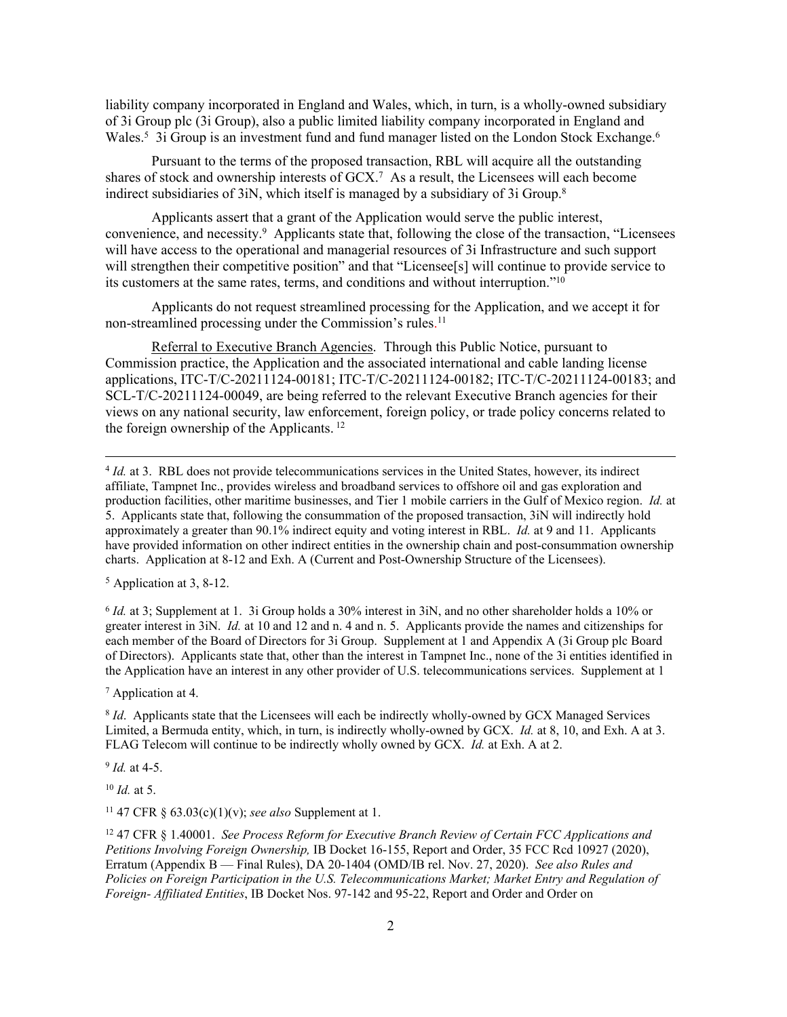liability company incorporated in England and Wales, which, in turn, is a wholly-owned subsidiary of 3i Group plc (3i Group), also a public limited liability company incorporated in England and Wales.<sup>5</sup> 3i Group is an investment fund and fund manager listed on the London Stock Exchange.<sup>6</sup>

Pursuant to the terms of the proposed transaction, RBL will acquire all the outstanding shares of stock and ownership interests of GCX.<sup>7</sup> As a result, the Licensees will each become indirect subsidiaries of 3iN, which itself is managed by a subsidiary of 3i Group.<sup>8</sup>

Applicants assert that a grant of the Application would serve the public interest, convenience, and necessity.<sup>9</sup> Applicants state that, following the close of the transaction, "Licensees will have access to the operational and managerial resources of 3i Infrastructure and such support will strengthen their competitive position" and that "Licensee[s] will continue to provide service to its customers at the same rates, terms, and conditions and without interruption."<sup>10</sup>

Applicants do not request streamlined processing for the Application, and we accept it for non-streamlined processing under the Commission's rules. 11

Referral to Executive Branch Agencies. Through this Public Notice, pursuant to Commission practice, the Application and the associated international and cable landing license applications, ITC-T/C-20211124-00181; ITC-T/C-20211124-00182; ITC-T/C-20211124-00183; and SCL-T/C-20211124-00049, are being referred to the relevant Executive Branch agencies for their views on any national security, law enforcement, foreign policy, or trade policy concerns related to the foreign ownership of the Applicants.<sup>12</sup>

4 *Id.* at 3. RBL does not provide telecommunications services in the United States, however, its indirect affiliate, Tampnet Inc., provides wireless and broadband services to offshore oil and gas exploration and production facilities, other maritime businesses, and Tier 1 mobile carriers in the Gulf of Mexico region. *Id.* at 5. Applicants state that, following the consummation of the proposed transaction, 3iN will indirectly hold approximately a greater than 90.1% indirect equity and voting interest in RBL. *Id.* at 9 and 11. Applicants have provided information on other indirect entities in the ownership chain and post-consummation ownership charts. Application at 8-12 and Exh. A (Current and Post-Ownership Structure of the Licensees).

<sup>5</sup> Application at 3, 8-12.

6 *Id.* at 3; Supplement at 1. 3i Group holds a 30% interest in 3iN, and no other shareholder holds a 10% or greater interest in 3iN. *Id.* at 10 and 12 and n. 4 and n. 5. Applicants provide the names and citizenships for each member of the Board of Directors for 3i Group. Supplement at 1 and Appendix A (3i Group plc Board of Directors). Applicants state that, other than the interest in Tampnet Inc., none of the 3i entities identified in the Application have an interest in any other provider of U.S. telecommunications services. Supplement at 1

7 Application at 4.

8 *Id*. Applicants state that the Licensees will each be indirectly wholly-owned by GCX Managed Services Limited, a Bermuda entity, which, in turn, is indirectly wholly-owned by GCX. *Id.* at 8, 10, and Exh. A at 3. FLAG Telecom will continue to be indirectly wholly owned by GCX. *Id.* at Exh. A at 2.

9 *Id.* at 4-5.

<sup>10</sup> *Id.* at 5.

<sup>11</sup> 47 CFR § 63.03(c)(1)(v); *see also* Supplement at 1.

<sup>12</sup> 47 CFR § 1.40001. *See Process Reform for Executive Branch Review of Certain FCC Applications and Petitions Involving Foreign Ownership,* IB Docket 16-155, Report and Order, 35 FCC Rcd 10927 (2020), Erratum (Appendix B — Final Rules), DA 20-1404 (OMD/IB rel. Nov. 27, 2020). *See also Rules and Policies on Foreign Participation in the U.S. Telecommunications Market; Market Entry and Regulation of Foreign- Affiliated Entities*, IB Docket Nos. 97-142 and 95-22, Report and Order and Order on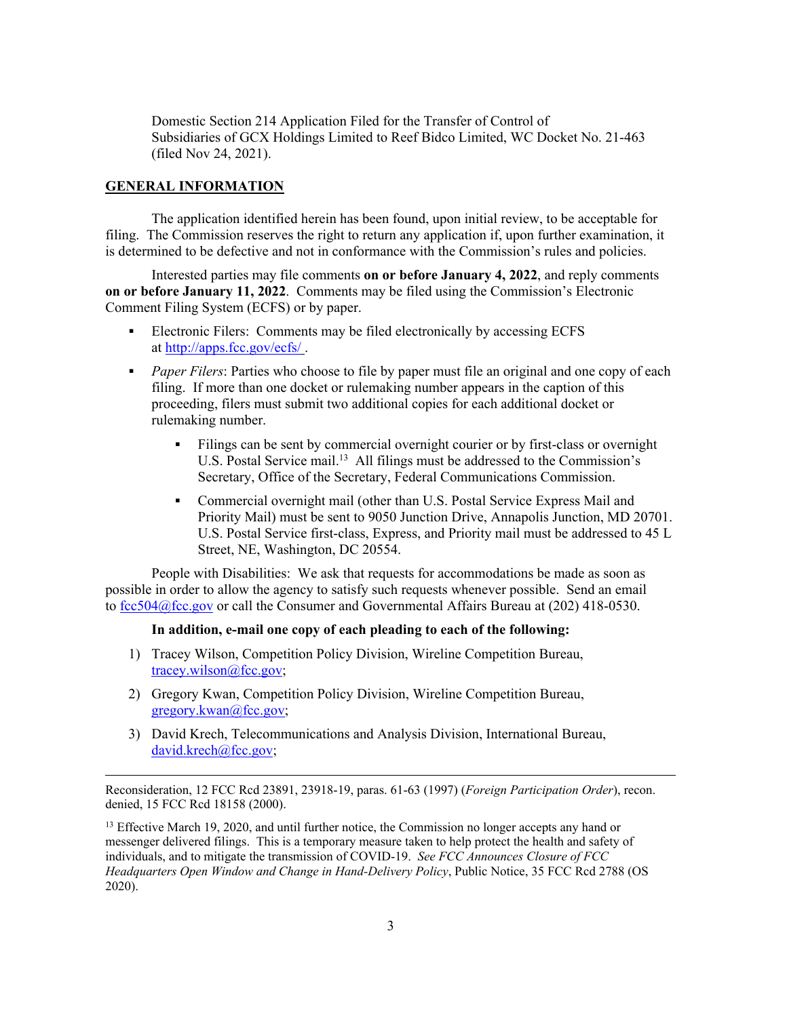Domestic Section 214 Application Filed for the Transfer of Control of Subsidiaries of GCX Holdings Limited to Reef Bidco Limited, WC Docket No. 21-463 (filed Nov 24, 2021).

### **GENERAL INFORMATION**

The application identified herein has been found, upon initial review, to be acceptable for filing. The Commission reserves the right to return any application if, upon further examination, it is determined to be defective and not in conformance with the Commission's rules and policies.

Interested parties may file comments **on or before January 4, 2022**, and reply comments **on or before January 11, 2022**. Comments may be filed using the Commission's Electronic Comment Filing System (ECFS) or by paper.

- Electronic Filers: Comments may be filed electronically by accessing ECFS at <http://apps.fcc.gov/ecfs/> .
- **Paper Filers:** Parties who choose to file by paper must file an original and one copy of each filing. If more than one docket or rulemaking number appears in the caption of this proceeding, filers must submit two additional copies for each additional docket or rulemaking number.
	- Filings can be sent by commercial overnight courier or by first-class or overnight U.S. Postal Service mail.<sup>13</sup> All filings must be addressed to the Commission's Secretary, Office of the Secretary, Federal Communications Commission.
	- Commercial overnight mail (other than U.S. Postal Service Express Mail and Priority Mail) must be sent to 9050 Junction Drive, Annapolis Junction, MD 20701. U.S. Postal Service first-class, Express, and Priority mail must be addressed to 45 L Street, NE, Washington, DC 20554.

People with Disabilities: We ask that requests for accommodations be made as soon as possible in order to allow the agency to satisfy such requests whenever possible. Send an email to [fcc504@fcc.gov](mailto:fcc504@fcc.gov) or call the Consumer and Governmental Affairs Bureau at (202) 418-0530.

#### **In addition, e-mail one copy of each pleading to each of the following:**

- 1) Tracey Wilson, Competition Policy Division, Wireline Competition Bureau, [tracey.wilson@fcc.gov;](mailto:tracey.wilson@fcc.gov)
- 2) Gregory Kwan, Competition Policy Division, Wireline Competition Bureau, [gregory.kwan@fcc.gov;](mailto:gregory.kwan@fcc.gov)
- 3) David Krech, Telecommunications and Analysis Division, International Bureau, [david.krech@fcc.gov](mailto:david.krech@fcc.gov);

Reconsideration, 12 FCC Rcd 23891, 23918-19, paras. 61-63 (1997) (*Foreign Participation Order*), recon. denied, 15 FCC Rcd 18158 (2000).

<sup>13</sup> Effective March 19, 2020, and until further notice, the Commission no longer accepts any hand or messenger delivered filings. This is a temporary measure taken to help protect the health and safety of individuals, and to mitigate the transmission of COVID-19. *See FCC Announces Closure of FCC Headquarters Open Window and Change in Hand-Delivery Policy*, Public Notice, 35 FCC Rcd 2788 (OS 2020).